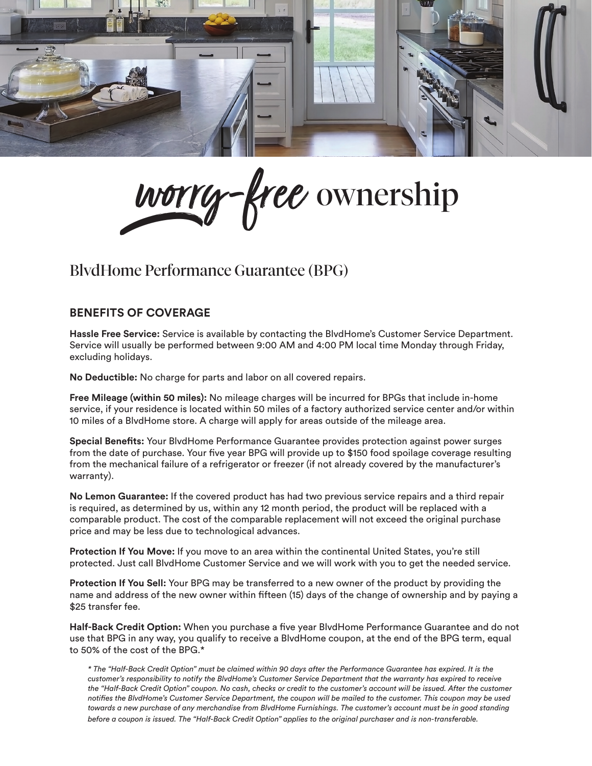

worry-free ownership

## BlvdHome Performance Guarantee (BPG)

## **BENEFITS OF COVERAGE**

**Hassle Free Service:** Service is available by contacting the BlvdHome's Customer Service Department. Service will usually be performed between 9:00 AM and 4:00 PM local time Monday through Friday, excluding holidays.

**No Deductible:** No charge for parts and labor on all covered repairs.

**Free Mileage (within 50 miles):** No mileage charges will be incurred for BPGs that include in-home service, if your residence is located within 50 miles of a factory authorized service center and/or within 10 miles of a BlvdHome store. A charge will apply for areas outside of the mileage area.

**Special Benefits:** Your BlvdHome Performance Guarantee provides protection against power surges from the date of purchase. Your five year BPG will provide up to \$150 food spoilage coverage resulting from the mechanical failure of a refrigerator or freezer (if not already covered by the manufacturer's warranty).

**No Lemon Guarantee:** If the covered product has had two previous service repairs and a third repair is required, as determined by us, within any 12 month period, the product will be replaced with a comparable product. The cost of the comparable replacement will not exceed the original purchase price and may be less due to technological advances.

**Protection If You Move:** If you move to an area within the continental United States, you're still protected. Just call BlvdHome Customer Service and we will work with you to get the needed service.

**Protection If You Sell:** Your BPG may be transferred to a new owner of the product by providing the name and address of the new owner within fifteen (15) days of the change of ownership and by paying a \$25 transfer fee.

**Half-Back Credit Option:** When you purchase a five year BlvdHome Performance Guarantee and do not use that BPG in any way, you qualify to receive a BlvdHome coupon, at the end of the BPG term, equal to 50% of the cost of the BPG.\*

*\* The "Half-Back Credit Option" must be claimed within 90 days after the Performance Guarantee has expired. It is the customer's responsibility to notify the BlvdHome's Customer Service Department that the warranty has expired to receive the "Half-Back Credit Option" coupon. No cash, checks or credit to the customer's account will be issued. After the customer notifies the BlvdHome's Customer Service Department, the coupon will be mailed to the customer. This coupon may be used towards a new purchase of any merchandise from BlvdHome Furnishings. The customer's account must be in good standing before a coupon is issued. The "Half-Back Credit Option" applies to the original purchaser and is non-transferable.*